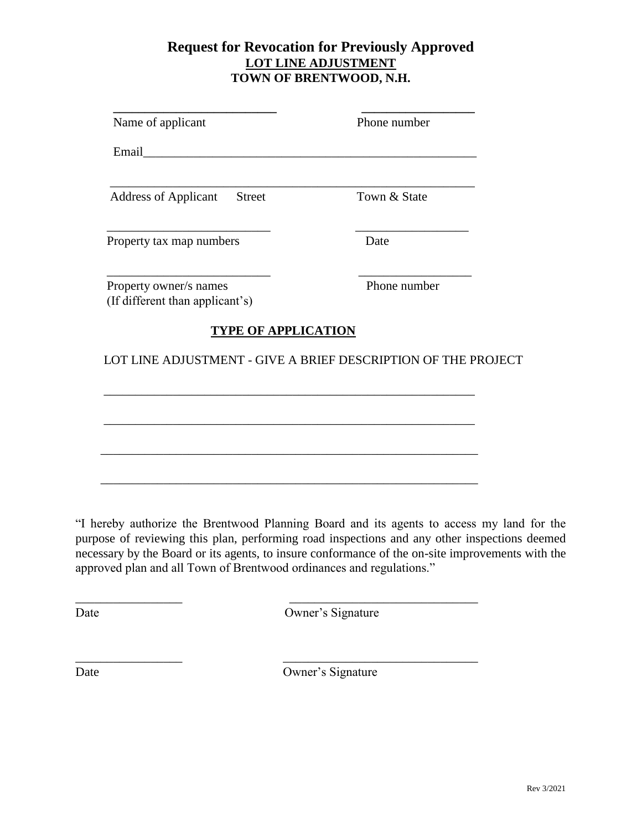## **Request for Revocation for Previously Approved LOT LINE ADJUSTMENT TOWN OF BRENTWOOD, N.H.**

| Name of applicant                                             | Phone number |
|---------------------------------------------------------------|--------------|
|                                                               |              |
| <b>Address of Applicant</b><br><b>Street</b>                  | Town & State |
| Property tax map numbers                                      | Date         |
| Property owner/s names<br>(If different than applicant's)     | Phone number |
| <b>TYPE OF APPLICATION</b>                                    |              |
| LOT LINE ADJUSTMENT - GIVE A BRIEF DESCRIPTION OF THE PROJECT |              |
|                                                               |              |
|                                                               |              |
|                                                               |              |

"I hereby authorize the Brentwood Planning Board and its agents to access my land for the purpose of reviewing this plan, performing road inspections and any other inspections deemed necessary by the Board or its agents, to insure conformance of the on-site improvements with the approved plan and all Town of Brentwood ordinances and regulations."

\_\_\_\_\_\_\_\_\_\_\_\_\_\_\_\_\_ \_\_\_\_\_\_\_\_\_\_\_\_\_\_\_\_\_\_\_\_\_\_\_\_\_\_\_\_\_\_

\_\_\_\_\_\_\_\_\_\_\_\_\_\_\_\_\_ \_\_\_\_\_\_\_\_\_\_\_\_\_\_\_\_\_\_\_\_\_\_\_\_\_\_\_\_\_\_\_

Date Owner's Signature

Date Owner's Signature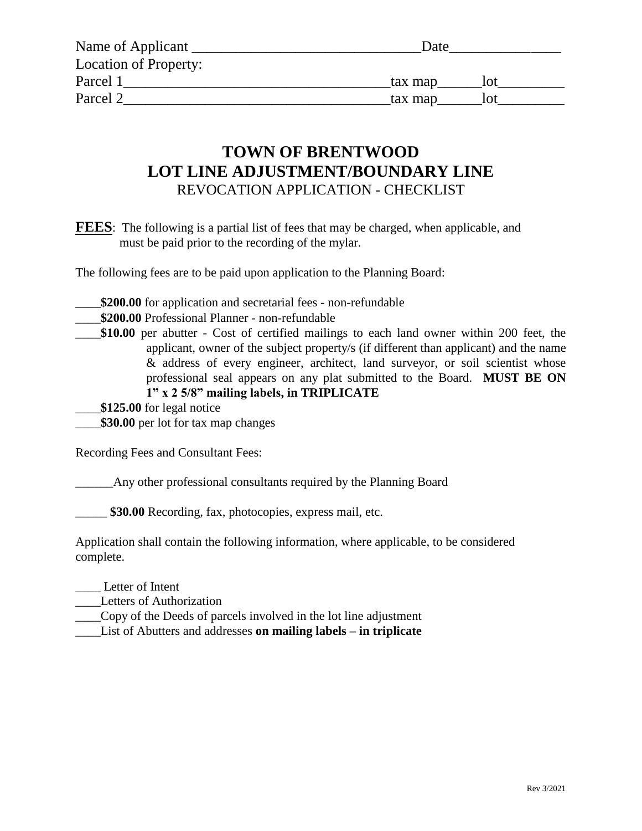| Name of Applicant     | Date    |
|-----------------------|---------|
| Location of Property: |         |
| Parcel 1              | tax map |
| Parcel 2              | tax map |

## REVOCATION APPLICATION - CHECKLIST **LOT LINE ADJUSTMENT/BOUNDARY LINE TOWN OF BRENTWOOD**

must be paid prior to the recording of the mylar. **FEES**: The following is a partial list of fees that may be charged, when applicable, and

The following fees are to be paid upon application to the Planning Board:

- \_\_\_\_**\$200.00** for application and secretarial fees non-refundable
- \_\_\_\_**\$200.00** Professional Planner non-refundable
- professional seal appears on any plat submitted to the Board. **MUST BE ON 1" x 2 5/8" mailing labels, in TRIPLICATE** & address of every engineer, architect, land surveyor, or soil scientist whose applicant, owner of the subject property/s (if different than applicant) and the name \_\_\_\_**\$10.00** per abutter - Cost of certified mailings to each land owner within 200 feet, the
- \_\_\_\_**\$125.00** for legal notice
- \_\_\_\_**\$30.00** per lot for tax map changes

Recording Fees and Consultant Fees:

\_\_\_\_\_\_Any other professional consultants required by the Planning Board

\$30.00 Recording, fax, photocopies, express mail, etc.

complete. Application shall contain the following information, where applicable, to be considered

- \_\_\_\_ Letter of Intent
- \_\_\_\_Letters of Authorization
- \_\_\_\_Copy of the Deeds of parcels involved in the lot line adjustment
- \_\_\_\_List of Abutters and addresses **on mailing labels – in triplicate**